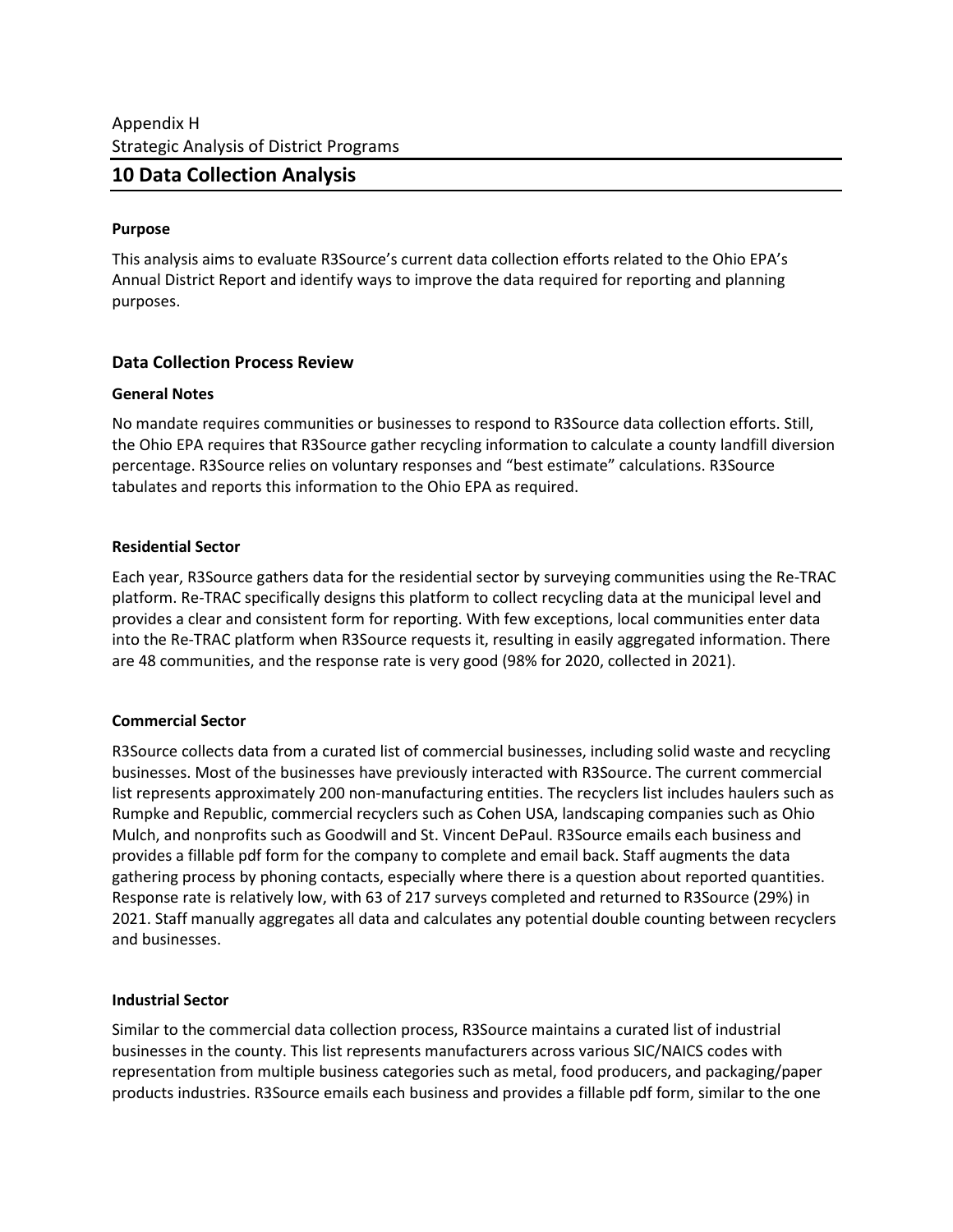# **10 Data Collection Analysis**

#### **Purpose**

This analysis aims to evaluate R3Source's current data collection efforts related to the Ohio EPA's Annual District Report and identify ways to improve the data required for reporting and planning purposes.

## **Data Collection Process Review**

### **General Notes**

No mandate requires communities or businesses to respond to R3Source data collection efforts. Still, the Ohio EPA requires that R3Source gather recycling information to calculate a county landfill diversion percentage. R3Source relies on voluntary responses and "best estimate" calculations. R3Source tabulates and reports this information to the Ohio EPA as required.

### **Residential Sector**

Each year, R3Source gathers data for the residential sector by surveying communities using the Re-TRAC platform. Re-TRAC specifically designs this platform to collect recycling data at the municipal level and provides a clear and consistent form for reporting. With few exceptions, local communities enter data into the Re-TRAC platform when R3Source requests it, resulting in easily aggregated information. There are 48 communities, and the response rate is very good (98% for 2020, collected in 2021).

## **Commercial Sector**

R3Source collects data from a curated list of commercial businesses, including solid waste and recycling businesses. Most of the businesses have previously interacted with R3Source. The current commercial list represents approximately 200 non-manufacturing entities. The recyclers list includes haulers such as Rumpke and Republic, commercial recyclers such as Cohen USA, landscaping companies such as Ohio Mulch, and nonprofits such as Goodwill and St. Vincent DePaul. R3Source emails each business and provides a fillable pdf form for the company to complete and email back. Staff augments the data gathering process by phoning contacts, especially where there is a question about reported quantities. Response rate is relatively low, with 63 of 217 surveys completed and returned to R3Source (29%) in 2021. Staff manually aggregates all data and calculates any potential double counting between recyclers and businesses.

#### **Industrial Sector**

Similar to the commercial data collection process, R3Source maintains a curated list of industrial businesses in the county. This list represents manufacturers across various SIC/NAICS codes with representation from multiple business categories such as metal, food producers, and packaging/paper products industries. R3Source emails each business and provides a fillable pdf form, similar to the one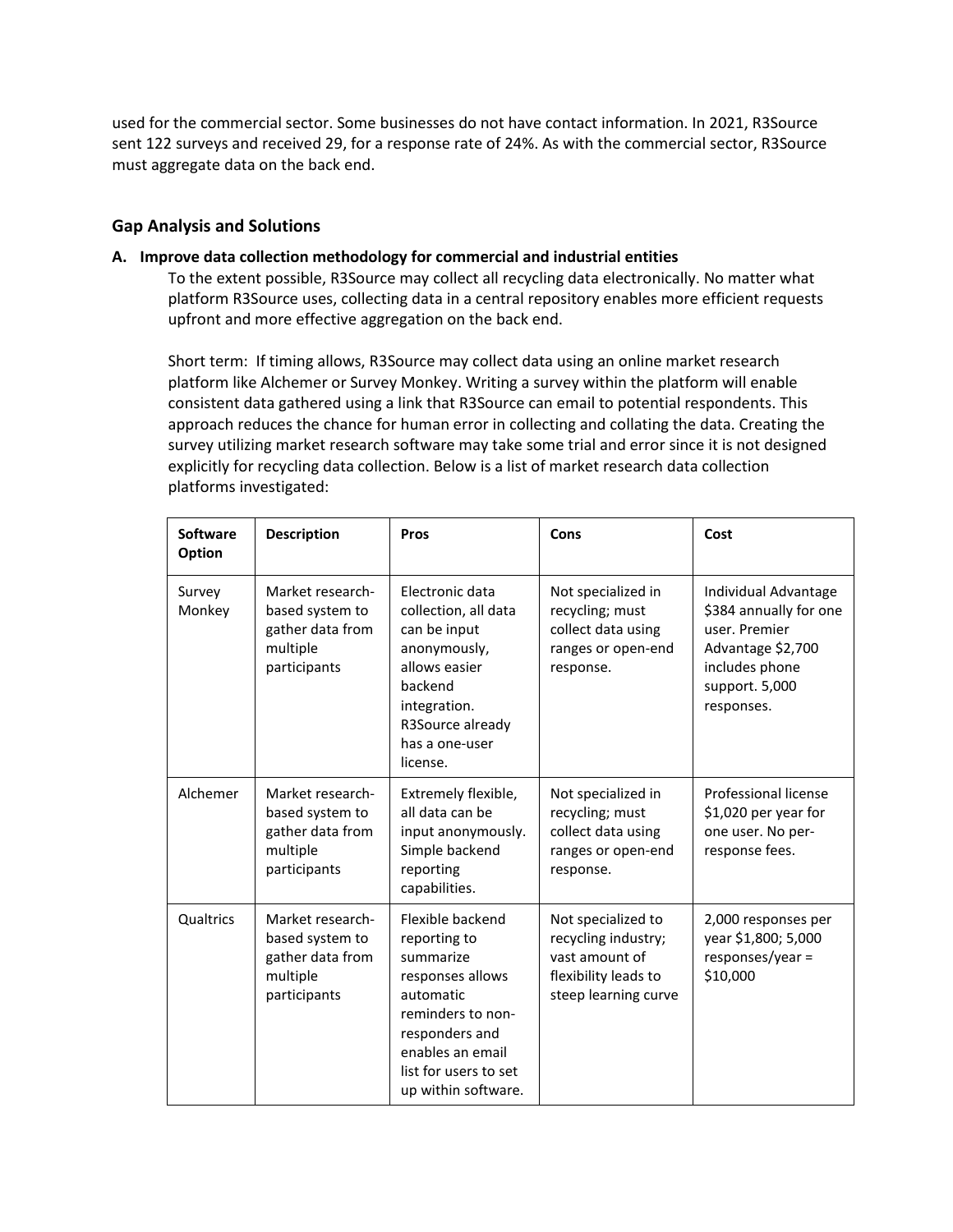used for the commercial sector. Some businesses do not have contact information. In 2021, R3Source sent 122 surveys and received 29, for a response rate of 24%. As with the commercial sector, R3Source must aggregate data on the back end.

### **Gap Analysis and Solutions**

#### **A. Improve data collection methodology for commercial and industrial entities**

To the extent possible, R3Source may collect all recycling data electronically. No matter what platform R3Source uses, collecting data in a central repository enables more efficient requests upfront and more effective aggregation on the back end.

Short term: If timing allows, R3Source may collect data using an online market research platform like Alchemer or Survey Monkey. Writing a survey within the platform will enable consistent data gathered using a link that R3Source can email to potential respondents. This approach reduces the chance for human error in collecting and collating the data. Creating the survey utilizing market research software may take some trial and error since it is not designed explicitly for recycling data collection. Below is a list of market research data collection platforms investigated:

| <b>Software</b><br>Option | <b>Description</b>                                                                  | Pros                                                                                                                                                                                      | Cons                                                                                                        | Cost                                                                                                                                   |
|---------------------------|-------------------------------------------------------------------------------------|-------------------------------------------------------------------------------------------------------------------------------------------------------------------------------------------|-------------------------------------------------------------------------------------------------------------|----------------------------------------------------------------------------------------------------------------------------------------|
| Survey<br>Monkey          | Market research-<br>based system to<br>gather data from<br>multiple<br>participants | Electronic data<br>collection, all data<br>can be input<br>anonymously,<br>allows easier<br>backend<br>integration.<br>R3Source already<br>has a one-user<br>license.                     | Not specialized in<br>recycling; must<br>collect data using<br>ranges or open-end<br>response.              | Individual Advantage<br>\$384 annually for one<br>user, Premier<br>Advantage \$2,700<br>includes phone<br>support. 5,000<br>responses. |
| Alchemer                  | Market research-<br>based system to<br>gather data from<br>multiple<br>participants | Extremely flexible,<br>all data can be<br>input anonymously.<br>Simple backend<br>reporting<br>capabilities.                                                                              | Not specialized in<br>recycling; must<br>collect data using<br>ranges or open-end<br>response.              | Professional license<br>\$1,020 per year for<br>one user. No per-<br>response fees.                                                    |
| Qualtrics                 | Market research-<br>based system to<br>gather data from<br>multiple<br>participants | Flexible backend<br>reporting to<br>summarize<br>responses allows<br>automatic<br>reminders to non-<br>responders and<br>enables an email<br>list for users to set<br>up within software. | Not specialized to<br>recycling industry;<br>vast amount of<br>flexibility leads to<br>steep learning curve | 2,000 responses per<br>year \$1,800; 5,000<br>responses/year =<br>\$10,000                                                             |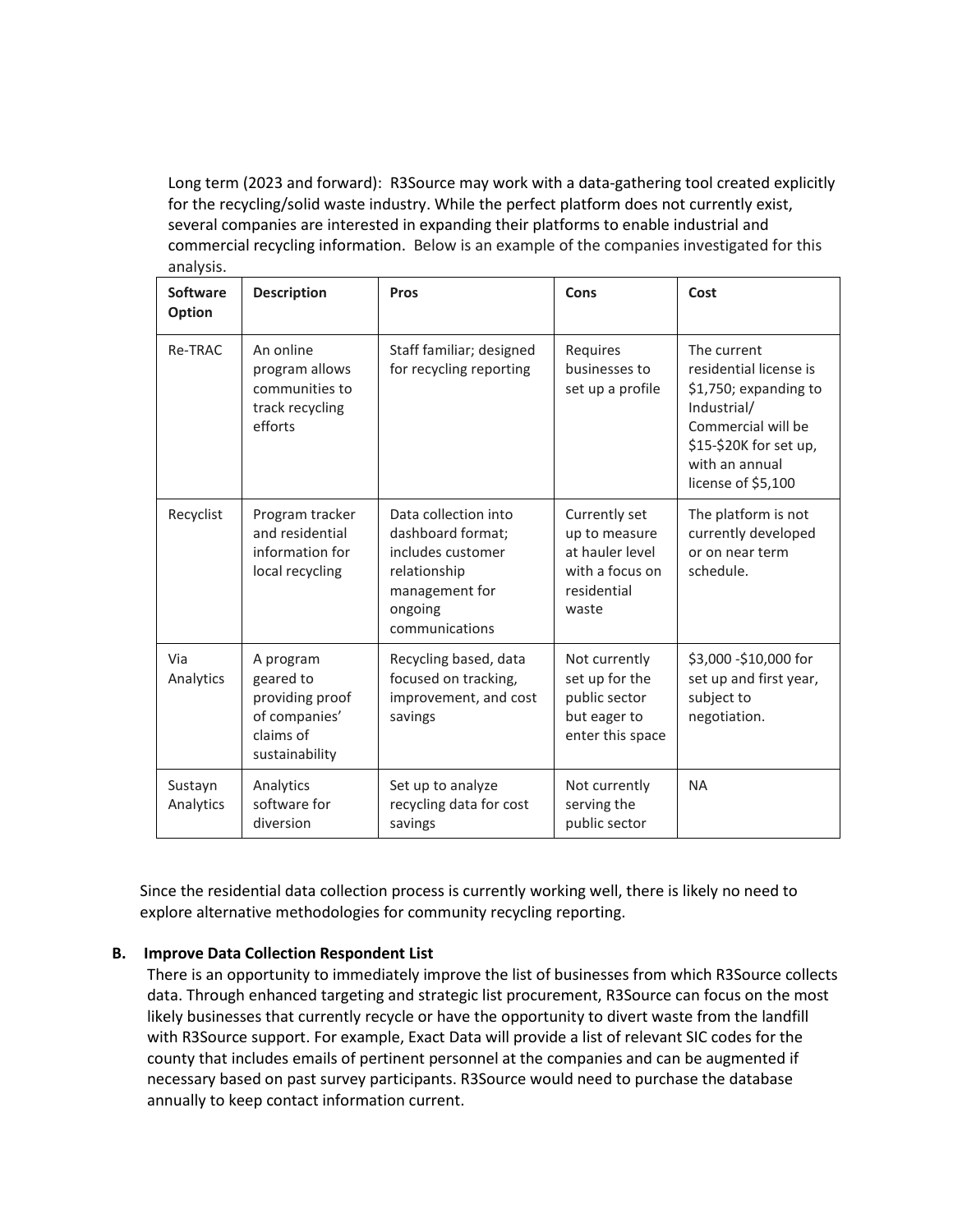Long term (2023 and forward): R3Source may work with a data-gathering tool created explicitly for the recycling/solid waste industry. While the perfect platform does not currently exist, several companies are interested in expanding their platforms to enable industrial and commercial recycling information. Below is an example of the companies investigated for this analysis.

| <b>Software</b><br><b>Option</b> | <b>Description</b>                                                                        | <b>Pros</b>                                                                                                                   | Cons                                                                                         | Cost                                                                                                                                                                  |
|----------------------------------|-------------------------------------------------------------------------------------------|-------------------------------------------------------------------------------------------------------------------------------|----------------------------------------------------------------------------------------------|-----------------------------------------------------------------------------------------------------------------------------------------------------------------------|
| Re-TRAC                          | An online<br>program allows<br>communities to<br>track recycling<br>efforts               | Staff familiar; designed<br>for recycling reporting                                                                           | Requires<br>businesses to<br>set up a profile                                                | The current<br>residential license is<br>\$1,750; expanding to<br>Industrial/<br>Commercial will be<br>\$15-\$20K for set up,<br>with an annual<br>license of \$5,100 |
| Recyclist                        | Program tracker<br>and residential<br>information for<br>local recycling                  | Data collection into<br>dashboard format;<br>includes customer<br>relationship<br>management for<br>ongoing<br>communications | Currently set<br>up to measure<br>at hauler level<br>with a focus on<br>residential<br>waste | The platform is not<br>currently developed<br>or on near term<br>schedule.                                                                                            |
| Via<br>Analytics                 | A program<br>geared to<br>providing proof<br>of companies'<br>claims of<br>sustainability | Recycling based, data<br>focused on tracking,<br>improvement, and cost<br>savings                                             | Not currently<br>set up for the<br>public sector<br>but eager to<br>enter this space         | \$3,000 -\$10,000 for<br>set up and first year,<br>subject to<br>negotiation.                                                                                         |
| Sustayn<br>Analytics             | Analytics<br>software for<br>diversion                                                    | Set up to analyze<br>recycling data for cost<br>savings                                                                       | Not currently<br>serving the<br>public sector                                                | <b>NA</b>                                                                                                                                                             |

Since the residential data collection process is currently working well, there is likely no need to explore alternative methodologies for community recycling reporting.

#### **B. Improve Data Collection Respondent List**

There is an opportunity to immediately improve the list of businesses from which R3Source collects data. Through enhanced targeting and strategic list procurement, R3Source can focus on the most likely businesses that currently recycle or have the opportunity to divert waste from the landfill with R3Source support. For example, Exact Data will provide a list of relevant SIC codes for the county that includes emails of pertinent personnel at the companies and can be augmented if necessary based on past survey participants. R3Source would need to purchase the database annually to keep contact information current.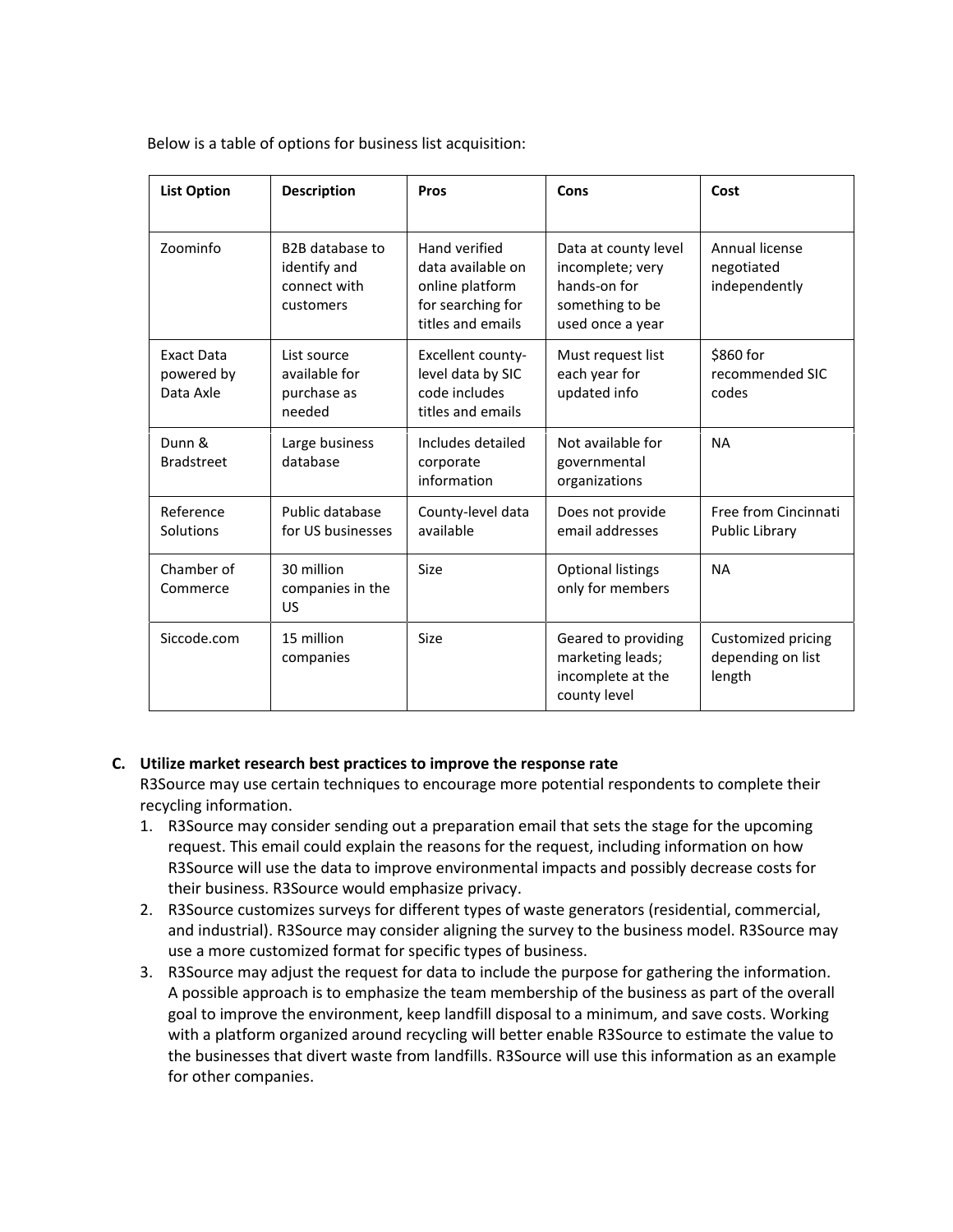Below is a table of options for business list acquisition:

| <b>List Option</b>                    | <b>Description</b>                                                        | <b>Pros</b>                                                                                     | Cons                                                                                            | Cost                                              |
|---------------------------------------|---------------------------------------------------------------------------|-------------------------------------------------------------------------------------------------|-------------------------------------------------------------------------------------------------|---------------------------------------------------|
| Zoominfo                              | B <sub>2</sub> B database to<br>identify and<br>connect with<br>customers | Hand verified<br>data available on<br>online platform<br>for searching for<br>titles and emails | Data at county level<br>incomplete; very<br>hands-on for<br>something to be<br>used once a year | Annual license<br>negotiated<br>independently     |
| Exact Data<br>powered by<br>Data Axle | List source<br>available for<br>purchase as<br>needed                     | Excellent county-<br>level data by SIC<br>code includes<br>titles and emails                    | Must request list<br>each year for<br>updated info                                              | \$860 for<br>recommended SIC<br>codes             |
| Dunn &<br><b>Bradstreet</b>           | Large business<br>database                                                | Includes detailed<br>corporate<br>information                                                   | Not available for<br>governmental<br>organizations                                              | <b>NA</b>                                         |
| Reference<br>Solutions                | Public database<br>for US businesses                                      | County-level data<br>available                                                                  | Does not provide<br>email addresses                                                             | Free from Cincinnati<br>Public Library            |
| Chamber of<br>Commerce                | 30 million<br>companies in the<br>US                                      | Size                                                                                            | <b>Optional listings</b><br>only for members                                                    | <b>NA</b>                                         |
| Siccode.com                           | 15 million<br>companies                                                   | Size                                                                                            | Geared to providing<br>marketing leads;<br>incomplete at the<br>county level                    | Customized pricing<br>depending on list<br>length |

#### **C. Utilize market research best practices to improve the response rate**

R3Source may use certain techniques to encourage more potential respondents to complete their recycling information.

- 1. R3Source may consider sending out a preparation email that sets the stage for the upcoming request. This email could explain the reasons for the request, including information on how R3Source will use the data to improve environmental impacts and possibly decrease costs for their business. R3Source would emphasize privacy.
- 2. R3Source customizes surveys for different types of waste generators (residential, commercial, and industrial). R3Source may consider aligning the survey to the business model. R3Source may use a more customized format for specific types of business.
- 3. R3Source may adjust the request for data to include the purpose for gathering the information. A possible approach is to emphasize the team membership of the business as part of the overall goal to improve the environment, keep landfill disposal to a minimum, and save costs. Working with a platform organized around recycling will better enable R3Source to estimate the value to the businesses that divert waste from landfills. R3Source will use this information as an example for other companies.